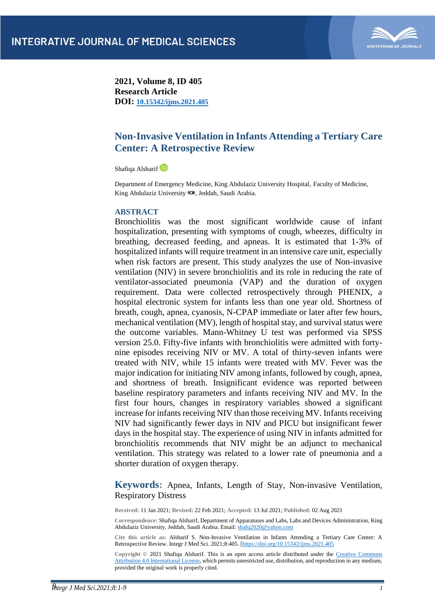

**2021, Volume 8, ID 405 Research Article DOI: [10.15342/ijms.2021.405](https://doi.org/10.15342/ijms.2021.405)**

# **Non-Invasive Ventilation in Infants Attending a Tertiary Care Center: A Retrospective Review**

Shafiqa Alsharif D

Department of Emergency Medicine, King Abdulaziz University Hospital, Faculty of Medicine, King Abdulaziz University ROR, Jeddah, Saudi Arabia.

# **ABSTRACT**

Bronchiolitis was the most significant worldwide cause of infant hospitalization, presenting with symptoms of cough, wheezes, difficulty in breathing, decreased feeding, and apneas. It is estimated that 1-3% of hospitalized infants will require treatment in an intensive care unit, especially when risk factors are present. This study analyzes the use of Non-invasive ventilation (NIV) in severe bronchiolitis and its role in reducing the rate of ventilator-associated pneumonia (VAP) and the duration of oxygen requirement. Data were collected retrospectively through PHENIX, a hospital electronic system for infants less than one year old. Shortness of breath, cough, apnea, cyanosis, N-CPAP immediate or later after few hours, mechanical ventilation (MV), length of hospital stay, and survival status were the outcome variables. Mann-Whitney U test was performed via SPSS version 25.0. Fifty-five infants with bronchiolitis were admitted with fortynine episodes receiving NIV or MV. A total of thirty-seven infants were treated with NIV, while 15 infants were treated with MV. Fever was the major indication for initiating NIV among infants, followed by cough, apnea, and shortness of breath. Insignificant evidence was reported between baseline respiratory parameters and infants receiving NIV and MV. In the first four hours, changes in respiratory variables showed a significant increase for infants receiving NIV than those receiving MV. Infants receiving NIV had significantly fewer days in NIV and PICU but insignificant fewer days in the hospital stay. The experience of using NIV in infants admitted for bronchiolitis recommends that NIV might be an adjunct to mechanical ventilation. This strategy was related to a lower rate of pneumonia and a shorter duration of oxygen therapy.

**Keywords:** Apnea, Infants, Length of Stay, Non-invasive Ventilation, Respiratory Distress

**Received:** 11 Jan 2021; **Revised:** 22 Feb 2021; **Accepted:** 13 Jul 2021; **Published:** 02 Aug 2021

**Correspondence:** Shafiqa Alsharif, Department of Apparatuses and Labs, Labs and Devices Administration, King Abdulaziz University, Jeddah, Saudi Arabia. Email: shafq2020@yahoo.com

**Cite this article as:** Alsharif S. Non-Invasive Ventilation in Infants Attending a Tertiary Care Center: A Retrospective Review. Integr J Med Sci. 2021;8:405. [\[https://doi.org/10.15342/ijms.2021.405](https://doi.org/10.15342/ijms.2021.405)

**Copyright ©** 2021 Shafiqa Alsharif. This is an open access article distributed under the [Creative Commons](https://creativecommons.org/licenses/by/4.0/)  [Attribution 4.0 International License,](https://creativecommons.org/licenses/by/4.0/) which permits unrestricted use, distribution, and reproduction in any medium, provided the original work is properly cited.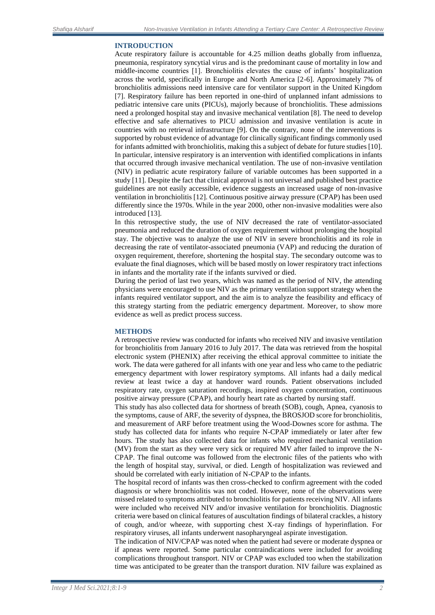## **INTRODUCTION**

Acute respiratory failure is accountable for 4.25 million deaths globally from influenza, pneumonia, respiratory syncytial virus and is the predominant cause of mortality in low and middle-income countries [1]. Bronchiolitis elevates the cause of infants' hospitalization across the world, specifically in Europe and North America [2-6]. Approximately 7% of bronchiolitis admissions need intensive care for ventilator support in the United Kingdom [7]. Respiratory failure has been reported in one-third of unplanned infant admissions to pediatric intensive care units (PICUs), majorly because of bronchiolitis. These admissions need a prolonged hospital stay and invasive mechanical ventilation [8]. The need to develop effective and safe alternatives to PICU admission and invasive ventilation is acute in countries with no retrieval infrastructure [9]. On the contrary, none of the interventions is supported by robust evidence of advantage for clinically significant findings commonly used for infants admitted with bronchiolitis, making this a subject of debate for future studies [10]. In particular, intensive respiratory is an intervention with identified complications in infants that occurred through invasive mechanical ventilation. The use of non-invasive ventilation (NIV) in pediatric acute respiratory failure of variable outcomes has been supported in a study [11]. Despite the fact that clinical approval is not universal and published best practice guidelines are not easily accessible, evidence suggests an increased usage of non-invasive ventilation in bronchiolitis [12]. Continuous positive airway pressure (CPAP) has been used differently since the 1970s. While in the year 2000, other non-invasive modalities were also introduced [13].

In this retrospective study, the use of NIV decreased the rate of ventilator-associated pneumonia and reduced the duration of oxygen requirement without prolonging the hospital stay. The objective was to analyze the use of NIV in severe bronchiolitis and its role in decreasing the rate of ventilator-associated pneumonia (VAP) and reducing the duration of oxygen requirement, therefore, shortening the hospital stay. The secondary outcome was to evaluate the final diagnoses, which will be based mostly on lower respiratory tract infections in infants and the mortality rate if the infants survived or died.

During the period of last two years, which was named as the period of NIV, the attending physicians were encouraged to use NIV as the primary ventilation support strategy when the infants required ventilator support, and the aim is to analyze the feasibility and efficacy of this strategy starting from the pediatric emergency department. Moreover, to show more evidence as well as predict process success.

#### **METHODS**

A retrospective review was conducted for infants who received NIV and invasive ventilation for bronchiolitis from January 2016 to July 2017. The data was retrieved from the hospital electronic system (PHENIX) after receiving the ethical approval committee to initiate the work. The data were gathered for all infants with one year and less who came to the pediatric emergency department with lower respiratory symptoms. All infants had a daily medical review at least twice a day at handover ward rounds. Patient observations included respiratory rate, oxygen saturation recordings, inspired oxygen concentration, continuous positive airway pressure (CPAP), and hourly heart rate as charted by nursing staff.

This study has also collected data for shortness of breath (SOB), cough, Apnea, cyanosis to the symptoms, cause of ARF, the severity of dyspnea, the BROSJOD score for bronchiolitis, and measurement of ARF before treatment using the Wood-Downes score for asthma. The study has collected data for infants who require N-CPAP immediately or later after few hours. The study has also collected data for infants who required mechanical ventilation (MV) from the start as they were very sick or required MV after failed to improve the N-CPAP. The final outcome was followed from the electronic files of the patients who with the length of hospital stay, survival, or died. Length of hospitalization was reviewed and should be correlated with early initiation of N-CPAP to the infants.

The hospital record of infants was then cross-checked to confirm agreement with the coded diagnosis or where bronchiolitis was not coded. However, none of the observations were missed related to symptoms attributed to bronchiolitis for patients receiving NIV. All infants were included who received NIV and/or invasive ventilation for bronchiolitis. Diagnostic criteria were based on clinical features of auscultation findings of bilateral crackles, a history of cough, and/or wheeze, with supporting chest X-ray findings of hyperinflation. For respiratory viruses, all infants underwent nasopharyngeal aspirate investigation.

The indication of NIV/CPAP was noted when the patient had severe or moderate dyspnea or if apneas were reported. Some particular contraindications were included for avoiding complications throughout transport. NIV or CPAP was excluded too when the stabilization time was anticipated to be greater than the transport duration. NIV failure was explained as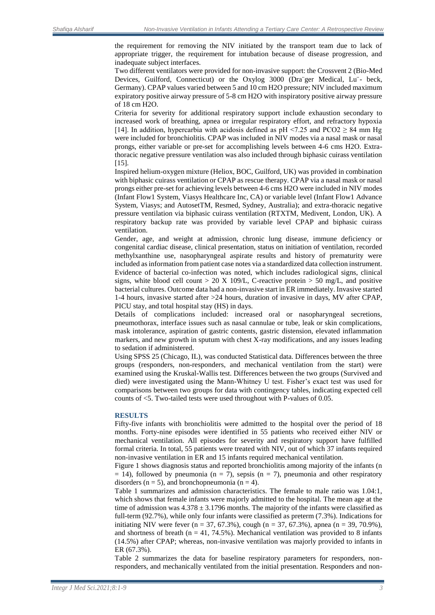the requirement for removing the NIV initiated by the transport team due to lack of appropriate trigger, the requirement for intubation because of disease progression, and inadequate subject interfaces.

Two different ventilators were provided for non-invasive support: the Crossvent 2 (Bio-Med Devices, Guilford, Connecticut) or the Oxylog 3000 (Dra¨ger Medical, Lu¨- beck, Germany). CPAP values varied between 5 and 10 cm H2O pressure; NIV included maximum expiratory positive airway pressure of 5-8 cm H2O with inspiratory positive airway pressure of 18 cm H2O.

Criteria for severity for additional respiratory support include exhaustion secondary to increased work of breathing, apnea or irregular respiratory effort, and refractory hypoxia [14]. In addition, hypercarbia with acidosis defined as pH <7.25 and  $PCO2 \geq 84$  mm Hg were included for bronchiolitis. CPAP was included in NIV modes via a nasal mask or nasal prongs, either variable or pre-set for accomplishing levels between 4-6 cms H2O. Extrathoracic negative pressure ventilation was also included through biphasic cuirass ventilation [15].

Inspired helium-oxygen mixture (Heliox, BOC, Guilford, UK) was provided in combination with biphasic cuirass ventilation or CPAP as rescue therapy. CPAP via a nasal mask or nasal prongs either pre-set for achieving levels between 4-6 cms H2O were included in NIV modes (Infant Flow1 System, Viasys Healthcare Inc, CA) or variable level (Infant Flow1 Advance System, Viasys; and AutosetTM, Resmed, Sydney, Australia); and extra-thoracic negative pressure ventilation via biphasic cuirass ventilation (RTXTM, Medivent, London, UK). A respiratory backup rate was provided by variable level CPAP and biphasic cuirass ventilation.

Gender, age, and weight at admission, chronic lung disease, immune deficiency or congenital cardiac disease, clinical presentation, status on initiation of ventilation, recorded methylxanthine use, nasopharyngeal aspirate results and history of prematurity were included as information from patient case notes via a standardized data collection instrument. Evidence of bacterial co-infection was noted, which includes radiological signs, clinical signs, white blood cell count  $> 20$  X 109/L, C-reactive protein  $> 50$  mg/L, and positive bacterial cultures. Outcome data had a non-invasive start in ER immediately. Invasive started 1-4 hours, invasive started after >24 hours, duration of invasive in days, MV after CPAP, PICU stay, and total hospital stay (HS) in days.

Details of complications included: increased oral or nasopharyngeal secretions, pneumothorax, interface issues such as nasal cannulae or tube, leak or skin complications, mask intolerance, aspiration of gastric contents, gastric distension, elevated inflammation markers, and new growth in sputum with chest X-ray modifications, and any issues leading to sedation if administered.

Using SPSS 25 (Chicago, IL), was conducted Statistical data. Differences between the three groups (responders, non-responders, and mechanical ventilation from the start) were examined using the Kruskal-Wallis test. Differences between the two groups (Survived and died) were investigated using the Mann-Whitney U test. Fisher's exact test was used for comparisons between two groups for data with contingency tables, indicating expected cell counts of <5. Two-tailed tests were used throughout with P-values of 0.05.

#### **RESULTS**

Fifty-five infants with bronchiolitis were admitted to the hospital over the period of 18 months. Forty-nine episodes were identified in 55 patients who received either NIV or mechanical ventilation. All episodes for severity and respiratory support have fulfilled formal criteria. In total, 55 patients were treated with NIV, out of which 37 infants required non-invasive ventilation in ER and 15 infants required mechanical ventilation.

Figure 1 shows diagnosis status and reported bronchiolitis among majority of the infants (n  $= 14$ ), followed by pneumonia (n = 7), sepsis (n = 7), pneumonia and other respiratory disorders ( $n = 5$ ), and bronchopneumonia ( $n = 4$ ).

Table 1 summarizes and admission characteristics. The female to male ratio was 1.04:1, which shows that female infants were majorly admitted to the hospital. The mean age at the time of admission was  $4.378 \pm 3.1796$  months. The majority of the infants were classified as full-term (92.7%), while only four infants were classified as preterm (7.3%). Indications for initiating NIV were fever (n = 37, 67.3%), cough (n = 37, 67.3%), apnea (n = 39, 70.9%), and shortness of breath ( $n = 41, 74.5\%$ ). Mechanical ventilation was provided to 8 infants (14.5%) after CPAP; whereas, non-invasive ventilation was majorly provided to infants in ER (67.3%).

Table 2 summarizes the data for baseline respiratory parameters for responders, nonresponders, and mechanically ventilated from the initial presentation. Responders and non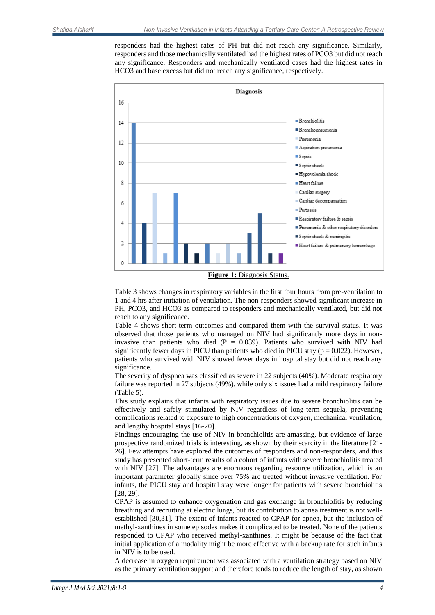responders had the highest rates of PH but did not reach any significance. Similarly, responders and those mechanically ventilated had the highest rates of PCO3 but did not reach any significance. Responders and mechanically ventilated cases had the highest rates in HCO3 and base excess but did not reach any significance, respectively.



**Figure 1:** Diagnosis Status.

Table 3 shows changes in respiratory variables in the first four hours from pre-ventilation to 1 and 4 hrs after initiation of ventilation. The non-responders showed significant increase in PH, PCO3, and HCO3 as compared to responders and mechanically ventilated, but did not reach to any significance.

Table 4 shows short-term outcomes and compared them with the survival status. It was observed that those patients who managed on NIV had significantly more days in noninvasive than patients who died  $(P = 0.039)$ . Patients who survived with NIV had significantly fewer days in PICU than patients who died in PICU stay ( $p = 0.022$ ). However, patients who survived with NIV showed fewer days in hospital stay but did not reach any significance.

The severity of dyspnea was classified as severe in 22 subjects (40%). Moderate respiratory failure was reported in 27 subjects (49%), while only six issues had a mild respiratory failure (Table 5).

This study explains that infants with respiratory issues due to severe bronchiolitis can be effectively and safely stimulated by NIV regardless of long-term sequela, preventing complications related to exposure to high concentrations of oxygen, mechanical ventilation, and lengthy hospital stays [16-20].

Findings encouraging the use of NIV in bronchiolitis are amassing, but evidence of large prospective randomized trials is interesting, as shown by their scarcity in the literature [21- 26]. Few attempts have explored the outcomes of responders and non-responders, and this study has presented short-term results of a cohort of infants with severe bronchiolitis treated with NIV [27]. The advantages are enormous regarding resource utilization, which is an important parameter globally since over 75% are treated without invasive ventilation. For infants, the PICU stay and hospital stay were longer for patients with severe bronchiolitis [28, 29].

CPAP is assumed to enhance oxygenation and gas exchange in bronchiolitis by reducing breathing and recruiting at electric lungs, but its contribution to apnea treatment is not wellestablished [30,31]. The extent of infants reacted to CPAP for apnea, but the inclusion of methyl-xanthines in some episodes makes it complicated to be treated. None of the patients responded to CPAP who received methyl-xanthines. It might be because of the fact that initial application of a modality might be more effective with a backup rate for such infants in NIV is to be used.

A decrease in oxygen requirement was associated with a ventilation strategy based on NIV as the primary ventilation support and therefore tends to reduce the length of stay, as shown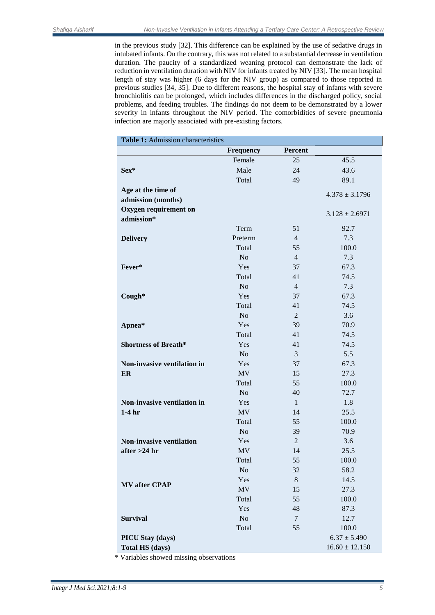in the previous study [32]. This difference can be explained by the use of sedative drugs in intubated infants. On the contrary, this was not related to a substantial decrease in ventilation duration. The paucity of a standardized weaning protocol can demonstrate the lack of reduction in ventilation duration with NIV for infants treated by NIV [33]. The mean hospital length of stay was higher (6 days for the NIV group) as compared to those reported in previous studies [34, 35]. Due to different reasons, the hospital stay of infants with severe bronchiolitis can be prolonged, which includes differences in the discharged policy, social problems, and feeding troubles. The findings do not deem to be demonstrated by a lower severity in infants throughout the NIV period. The comorbidities of severe pneumonia infection are majorly associated with pre-existing factors.

| Table 1: Admission characteristics       |                  |                |                    |  |
|------------------------------------------|------------------|----------------|--------------------|--|
|                                          | <b>Frequency</b> | Percent        |                    |  |
|                                          | Female           | 25             | 45.5               |  |
| Sex*                                     | Male             | 24             | 43.6               |  |
|                                          | Total            | 49             | 89.1               |  |
| Age at the time of<br>admission (months) |                  |                | $4.378 \pm 3.1796$ |  |
| Oxygen requirement on                    |                  |                |                    |  |
| admission*                               |                  |                | $3.128 \pm 2.6971$ |  |
|                                          | Term             | 51             | 92.7               |  |
| <b>Delivery</b>                          | Preterm          | $\overline{4}$ | 7.3                |  |
|                                          | Total            | 55             | 100.0              |  |
|                                          | N <sub>o</sub>   | $\overline{4}$ | 7.3                |  |
| Fever*                                   | Yes              | 37             | 67.3               |  |
|                                          | Total            | 41             | 74.5               |  |
|                                          | N <sub>o</sub>   | $\overline{4}$ | 7.3                |  |
| Cough*                                   | Yes              | 37             | 67.3               |  |
|                                          | Total            | 41             | 74.5               |  |
|                                          | N <sub>o</sub>   | $\overline{c}$ | 3.6                |  |
| Apnea*                                   | Yes              | 39             | 70.9               |  |
|                                          | Total            | 41             | 74.5               |  |
| <b>Shortness of Breath*</b>              | Yes              | 41             | 74.5               |  |
|                                          | N <sub>o</sub>   | 3              | 5.5                |  |
| Non-invasive ventilation in              | Yes              | 37             | 67.3               |  |
| ER                                       | <b>MV</b>        | 15             | 27.3               |  |
|                                          | Total            | 55             | 100.0              |  |
|                                          | No               | 40             | 72.7               |  |
| Non-invasive ventilation in              | Yes              | $\mathbf{1}$   | 1.8                |  |
| $1-4hr$                                  | <b>MV</b>        | 14             | 25.5               |  |
|                                          | Total            | 55             | 100.0              |  |
|                                          | N <sub>o</sub>   | 39             | 70.9               |  |
| <b>Non-invasive ventilation</b>          | Yes              | $\overline{2}$ | 3.6                |  |
| after $>24$ hr                           | <b>MV</b>        | 14             | 25.5               |  |
|                                          | Total            | 55             | 100.0              |  |
|                                          | N <sub>o</sub>   | 32             | 58.2               |  |
| <b>MV</b> after CPAP                     | Yes              | 8              | 14.5               |  |
|                                          | MV               | 15             | 27.3               |  |
|                                          | Total            | 55             | 100.0              |  |
|                                          | Yes              | 48             | 87.3               |  |
| <b>Survival</b>                          | $\rm No$         | 7              | 12.7               |  |
|                                          | Total            | 55             | 100.0              |  |
| PICU Stay (days)                         |                  |                | $6.37 \pm 5.490$   |  |
| <b>Total HS (days)</b>                   |                  |                | $16.60 \pm 12.150$ |  |

\* Variables showed missing observations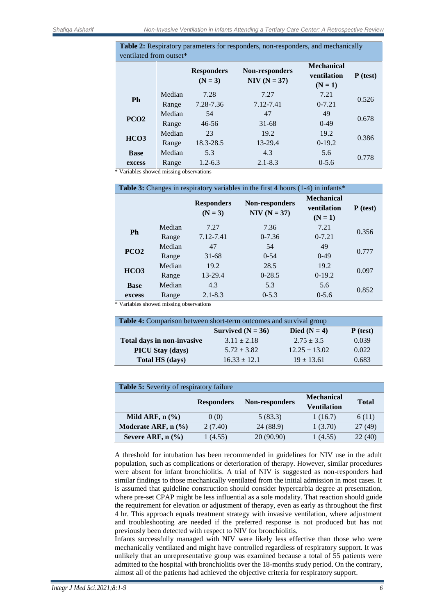**Table 2:** Respiratory parameters for responders, non-responders, and mechanically ventilated from outset\*

|                  |        | <b>Responders</b><br>$(N = 3)$ | Non-responders<br>$NIV (N = 37)$ | <b>Mechanical</b><br>ventilation<br>$(N = 1)$ | $P$ (test) |
|------------------|--------|--------------------------------|----------------------------------|-----------------------------------------------|------------|
| Ph               | Median | 7.28                           | 7.27                             | 7.21                                          | 0.526      |
|                  | Range  | 7.28-7.36                      | 7.12-7.41                        | $0 - 7.21$                                    |            |
| PCO <sub>2</sub> | Median | 54                             | 47                               | 49                                            | 0.678      |
|                  | Range  | $46 - 56$                      | $31 - 68$                        | $0-49$                                        |            |
| HCO <sub>3</sub> | Median | 23                             | 19.2                             | 19.2                                          | 0.386      |
|                  | Range  | 18.3-28.5                      | 13-29.4                          | $0-19.2$                                      |            |
| <b>Base</b>      | Median | 5.3                            | 4.3                              | 5.6                                           |            |
| excess           | Range  | $1.2 - 6.3$                    | $2.1 - 8.3$                      | $0 - 5.6$                                     | 0.778      |

\* Variables showed missing observations

| <b>Table 3:</b> Changes in respiratory variables in the first 4 hours (1-4) in infants* |        |                                |                                  |                                                      |            |
|-----------------------------------------------------------------------------------------|--------|--------------------------------|----------------------------------|------------------------------------------------------|------------|
|                                                                                         |        | <b>Responders</b><br>$(N = 3)$ | Non-responders<br>$NIV (N = 37)$ | <b>Mechanical</b><br><b>ventilation</b><br>$(N = 1)$ | $P$ (test) |
| <b>Ph</b>                                                                               | Median | 7.27                           | 7.36                             | 7.21                                                 | 0.356      |
|                                                                                         | Range  | 7.12-7.41                      | $0 - 7.36$                       | $0 - 7.21$                                           |            |
| PCO <sub>2</sub>                                                                        | Median | 47                             | 54                               | 49                                                   | 0.777      |
|                                                                                         | Range  | $31 - 68$                      | $0 - 54$                         | $0-49$                                               |            |
| HCO <sub>3</sub>                                                                        | Median | 19.2                           | 28.5                             | 19.2                                                 | 0.097      |
|                                                                                         | Range  | 13-29.4                        | $0-28.5$                         | $0-19.2$                                             |            |
| <b>Base</b>                                                                             | Median | 4.3                            | 5.3                              | 5.6                                                  | 0.852      |
| excess                                                                                  | Range  | $2.1 - 8.3$                    | $0 - 5.3$                        | $0 - 5.6$                                            |            |

\* Variables showed missing observations

| <b>Table 4:</b> Comparison between short-term outcomes and survival group |                     |                   |            |  |
|---------------------------------------------------------------------------|---------------------|-------------------|------------|--|
|                                                                           | Survived $(N = 36)$ | Died ( $N = 4$ )  | $P$ (test) |  |
| Total days in non-invasive                                                | $3.11 \pm 2.18$     | $2.75 \pm 3.5$    | 0.039      |  |
| <b>PICU Stay (days)</b>                                                   | $5.72 \pm 3.82$     | $12.25 \pm 13.02$ | 0.022      |  |
| Total HS (days)                                                           | $16.33 \pm 12.1$    | $19 \pm 13.61$    | 0.683      |  |

| <b>Table 5:</b> Severity of respiratory failure |                   |                |                                  |              |  |  |
|-------------------------------------------------|-------------------|----------------|----------------------------------|--------------|--|--|
|                                                 | <b>Responders</b> | Non-responders | <b>Mechanical</b><br>Ventilation | <b>Total</b> |  |  |
| Mild ARF, $n$ $(\%)$                            | 0(0)              | 5(83.3)        | 1(16.7)                          | 6(11)        |  |  |
| Moderate ARF, $n$ $(\%)$                        | 2(7.40)           | 24 (88.9)      | 1(3.70)                          | 27(49)       |  |  |
| Severe ARF, $n$ $(\% )$                         | 1(4.55)           | 20 (90.90)     | 1(4.55)                          | 22(40)       |  |  |

A threshold for intubation has been recommended in guidelines for NIV use in the adult population, such as complications or deterioration of therapy. However, similar procedures were absent for infant bronchiolitis. A trial of NIV is suggested as non-responders had similar findings to those mechanically ventilated from the initial admission in most cases. It is assumed that guideline construction should consider hypercarbia degree at presentation, where pre-set CPAP might be less influential as a sole modality. That reaction should guide the requirement for elevation or adjustment of therapy, even as early as throughout the first 4 hr. This approach equals treatment strategy with invasive ventilation, where adjustment and troubleshooting are needed if the preferred response is not produced but has not previously been detected with respect to NIV for bronchiolitis.

Infants successfully managed with NIV were likely less effective than those who were mechanically ventilated and might have controlled regardless of respiratory support. It was unlikely that an unrepresentative group was examined because a total of 55 patients were admitted to the hospital with bronchiolitis over the 18-months study period. On the contrary, almost all of the patients had achieved the objective criteria for respiratory support.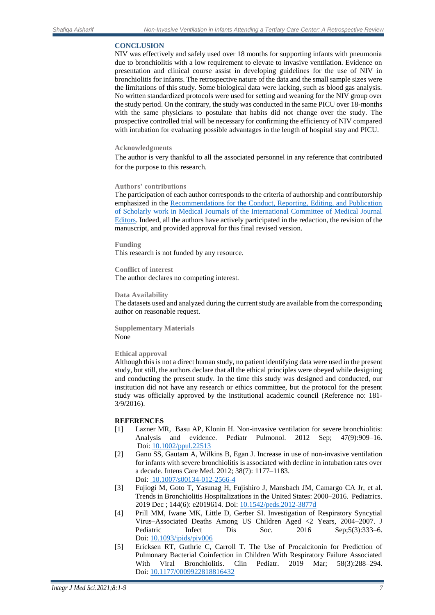## **CONCLUSION**

NIV was effectively and safely used over 18 months for supporting infants with pneumonia due to bronchiolitis with a low requirement to elevate to invasive ventilation. Evidence on presentation and clinical course assist in developing guidelines for the use of NIV in bronchiolitis for infants. The retrospective nature of the data and the small sample sizes were the limitations of this study. Some biological data were lacking, such as blood gas analysis. No written standardized protocols were used for setting and weaning for the NIV group over the study period. On the contrary, the study was conducted in the same PICU over 18-months with the same physicians to postulate that habits did not change over the study. The prospective controlled trial will be necessary for confirming the efficiency of NIV compared with intubation for evaluating possible advantages in the length of hospital stay and PICU.

## **Acknowledgments**

The author is very thankful to all the associated personnel in any reference that contributed for the purpose to this research.

### **Authors' contributions**

The participation of each author corresponds to the criteria of authorship and contributorship emphasized in the Recommendations [for the Conduct, Reporting, Editing, and Publication](http://www.icmje.org/recommendations/browse/)  [of Scholarly work in Medical Journals of the International Committee of Medical Journal](http://www.icmje.org/recommendations/browse/)  [Editors.](http://www.icmje.org/recommendations/browse/) Indeed, all the authors have actively participated in the redaction, the revision of the manuscript, and provided approval for this final revised version.

**Funding**  This research is not funded by any resource.

# **Conflict of interest**

The author declares no competing interest.

### **Data Availability**

The datasets used and analyzed during the current study are available from the corresponding author on reasonable request.

**Supplementary Materials** None

#### **Ethical approval**

Although this is not a direct human study, no patient identifying data were used in the present study, but still, the authors declare that all the ethical principles were obeyed while designing and conducting the present study. In the time this study was designed and conducted, our institution did not have any research or ethics committee, but the protocol for the present study was officially approved by the institutional academic council (Reference no: 181- 3/9/2016).

## **REFERENCES**

- [1] Lazner MR, Basu AP, Klonin H. Non-invasive ventilation for severe bronchiolitis: Analysis and evidence. Pediatr Pulmonol. 2012 Sep; 47(9):909–16. Doi: [10.1002/ppul.22513](https://doi.org/10.1002/ppul.22513)
- [2] Ganu SS, Gautam A, Wilkins B, Egan J. Increase in use of non-invasive ventilation for infants with severe bronchiolitis is associated with decline in intubation rates over a decade. Intens Care Med. 2012; 38(7): 1177–1183. Doi[: 10.1007/s00134-012-2566-4](https://doi.org/10.1007/s00134-012-2566-4)
- [3] Fujiogi M, Goto T, Yasunag H, Fujishiro J, Mansbach JM, Camargo CA Jr, et al. Trends in Bronchiolitis Hospitalizations in the United States: 2000–2016. Pediatrics. 2019 Dec ; 144(6): e2019614. Doi: [10.1542/peds.2012-3877d](https://doi.org/10.1542/peds.2012-3877d)
- [4] Prill MM, Iwane MK, Little D, Gerber SI. Investigation of Respiratory Syncytial Virus–Associated Deaths Among US Children Aged <2 Years, 2004–2007. J Pediatric Infect Dis Soc. 2016 Sep;5(3):333–6. Doi[: 10.1093/jpids/piv006](https://doi.org/10.1093/jpids/piv006)
- [5] Ericksen RT, Guthrie C, Carroll T. The Use of Procalcitonin for Prediction of Pulmonary Bacterial Coinfection in Children With Respiratory Failure Associated With Viral Bronchiolitis. Clin Pediatr. 2019 Mar; 58(3):288–294. Doi[: 10.1177/0009922818816432](https://doi.org/10.1177/0009922818816432)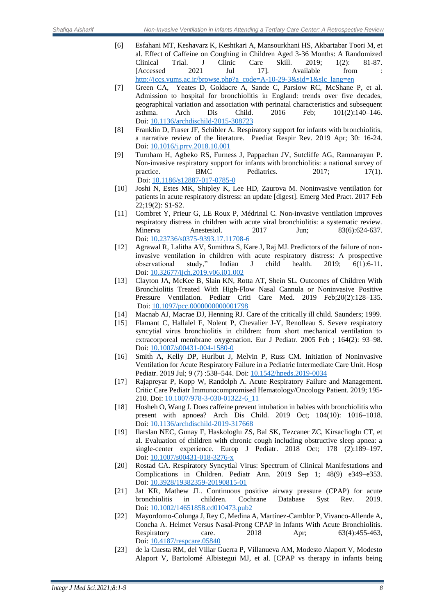- [6] Esfahani MT, Keshavarz K, Keshtkari A, Mansourkhani HS, Akbartabar Toori M, et al. Effect of Caffeine on Coughing in Children Aged 3-36 Months: A Randomized Clinical Trial. J Clinic Care Skill. 2019; 1(2): 81-87. [Accessed 2021 Jul 17]. Available from [http://jccs.yums.ac.ir/browse.php?a\\_code=A-10-29-3&sid=1&slc\\_lang=en](http://jccs.yums.ac.ir/browse.php?a_code=A-10-29-3&sid=1&slc_lang=en)
- [7] Green CA, Yeates D, Goldacre A, Sande C, Parslow RC, McShane P, et al. Admission to hospital for bronchiolitis in England: trends over five decades, geographical variation and association with perinatal characteristics and subsequent asthma. Arch Dis Child. 2016 Feb; 101(2):140–146. Doi[: 10.1136/archdischild-2015-308723](https://doi.org/10.1136/archdischild-2015-308723)
- [8] Franklin D, Fraser JF, Schibler A. Respiratory support for infants with bronchiolitis, a narrative review of the literature. Paediat Respir Rev. 2019 Apr; 30: 16-24. Doi[: 10.1016/j.prrv.2018.10.001](https://doi.org/10.1016/j.prrv.2018.10.001)
- [9] Turnham H, Agbeko RS, Furness J, Pappachan JV, Sutcliffe AG, Ramnarayan P. Non-invasive respiratory support for infants with bronchiolitis: a national survey of practice. BMC Pediatrics. 2017; 17(1). Doi: [10.1186/s12887-017-0785-0](https://doi.org/10.1186/s12887-017-0785-0)
- [10] Joshi N, Estes MK, Shipley K, Lee HD, Zaurova M. Noninvasive ventilation for patients in acute respiratory distress: an update [digest]. Emerg Med Pract. 2017 Feb 22;19(2): S1-S2.
- [11] Combret Y, Prieur G, LE Roux P, Médrinal C. Non-invasive ventilation improves respiratory distress in children with acute viral bronchiolitis: a systematic review. Minerva Anestesiol. 2017 Jun; 83(6):624-637. Doi[: 10.23736/s0375-9393.17.11708-6](https://doi.org/10.23736/s0375-9393.17.11708-6)
- [12] Agrawal R, Lalitha AV, Sumithra S, Kare J, Raj MJ. Predictors of the failure of noninvasive ventilation in children with acute respiratory distress: A prospective observational study," Indian J child health. 2019; 6(1):6-11. Doi[: 10.32677/ijch.2019.v06.i01.002](https://doi.org/10.32677/ijch.2019.v06.i01.002)
- [13] Clayton JA, McKee B, Slain KN, Rotta AT, Shein SL. Outcomes of Children With Bronchiolitis Treated With High-Flow Nasal Cannula or Noninvasive Positive Pressure Ventilation. Pediatr Criti Care Med. 2019 Feb;20(2):128–135. Doi: [10.1097/pcc.0000000000001798](https://doi.org/10.1097/pcc.0000000000001798)
- [14] Macnab AJ, Macrae DJ, Henning RJ. Care of the critically ill child. Saunders; 1999.
- [15] Flamant C, Hallalel F, Nolent P, Chevalier J-Y, Renolleau S. Severe respiratory syncytial virus bronchiolitis in children: from short mechanical ventilation to extracorporeal membrane oxygenation. Eur J Pediatr. 2005 Feb ; 164(2): 93–98. Doi[: 10.1007/s00431-004-1580-0](https://doi.org/10.1007/s00431-004-1580-0)
- [16] Smith A, Kelly DP, Hurlbut J, Melvin P, Russ CM. Initiation of Noninvasive Ventilation for Acute Respiratory Failure in a Pediatric Intermediate Care Unit. Hosp Pediatr. 2019 Jul; 9 (7) :538–544. Doi: [10.1542/hpeds.2019-0034](https://doi.org/10.1542/hpeds.2019-0034)
- [17] Rajapreyar P, Kopp W, Randolph A. Acute Respiratory Failure and Management. Critic Care Pediatr Immunocompromised Hematology/Oncology Patient. 2019; 195- 210. Doi: [10.1007/978-3-030-01322-6\\_11](https://doi.org/10.1007/978-3-030-01322-6_11)
- [18] Hosheh O, Wang J. Does caffeine prevent intubation in babies with bronchiolitis who present with apnoea? Arch Dis Child. 2019 Oct; 104(10): 1016–1018. Doi[: 10.1136/archdischild-2019-317668](https://doi.org/10.1136/archdischild-2019-317668)
- [19] Ilarslan NEC, Gunay F, Haskologlu ZS, Bal SK, Tezcaner ZC, Kirsaclioglu CT, et al. Evaluation of children with chronic cough including obstructive sleep apnea: a single-center experience. Europ J Pediatr. 2018 Oct; 178 (2):189–197. Doi[: 10.1007/s00431-018-3276-x](https://doi.org/10.1007/s00431-018-3276-x)
- [20] Rostad CA. Respiratory Syncytial Virus: Spectrum of Clinical Manifestations and Complications in Children. Pediatr Ann. 2019 Sep 1; 48(9) e349–e353. Doi[: 10.3928/19382359-20190815-01](https://doi.org/10.3928/19382359-20190815-01)
- [21] Jat KR, Mathew JL. Continuous positive airway pressure (CPAP) for acute bronchiolitis in children. Cochrane Database Syst Rev. 2019. Doi[: 10.1002/14651858.cd010473.pub2](https://doi.org/10.1002/14651858.cd010473.pub2)
- [22] Mayordomo-Colunga J, Rey C, Medina A, Martínez-Camblor P, Vivanco-Allende A, Concha A. Helmet Versus Nasal-Prong CPAP in Infants With Acute Bronchiolitis. Respiratory care. 2018 Apr; 63(4):455-463, Doi[: 10.4187/respcare.05840](https://doi.org/10.4187/respcare.05840)
- [23] de la Cuesta RM, del Villar Guerra P, Villanueva AM, Modesto Alaport V, Modesto Alaport V, Bartolomé Albistegui MJ, et al. [CPAP vs therapy in infants being